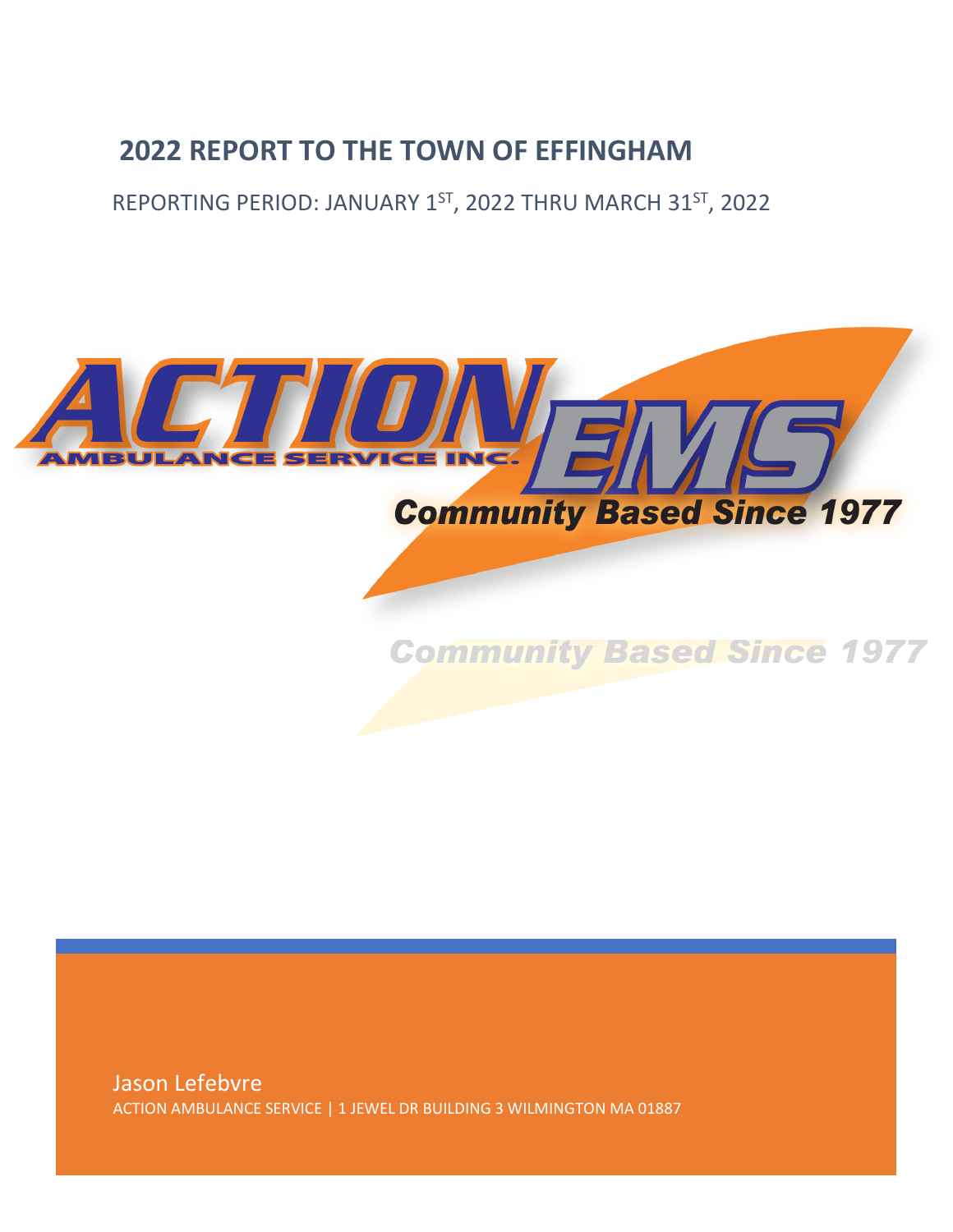# **2022 REPORT TO THE TOWN OF EFFINGHAM**

REPORTING PERIOD: JANUARY 1<sup>ST</sup>, 2022 THRU MARCH 31<sup>ST</sup>, 2022



Jason Lefebvre ACTION AMBULANCE SERVICE | 1 JEWEL DR BUILDING 3 WILMINGTON MA 01887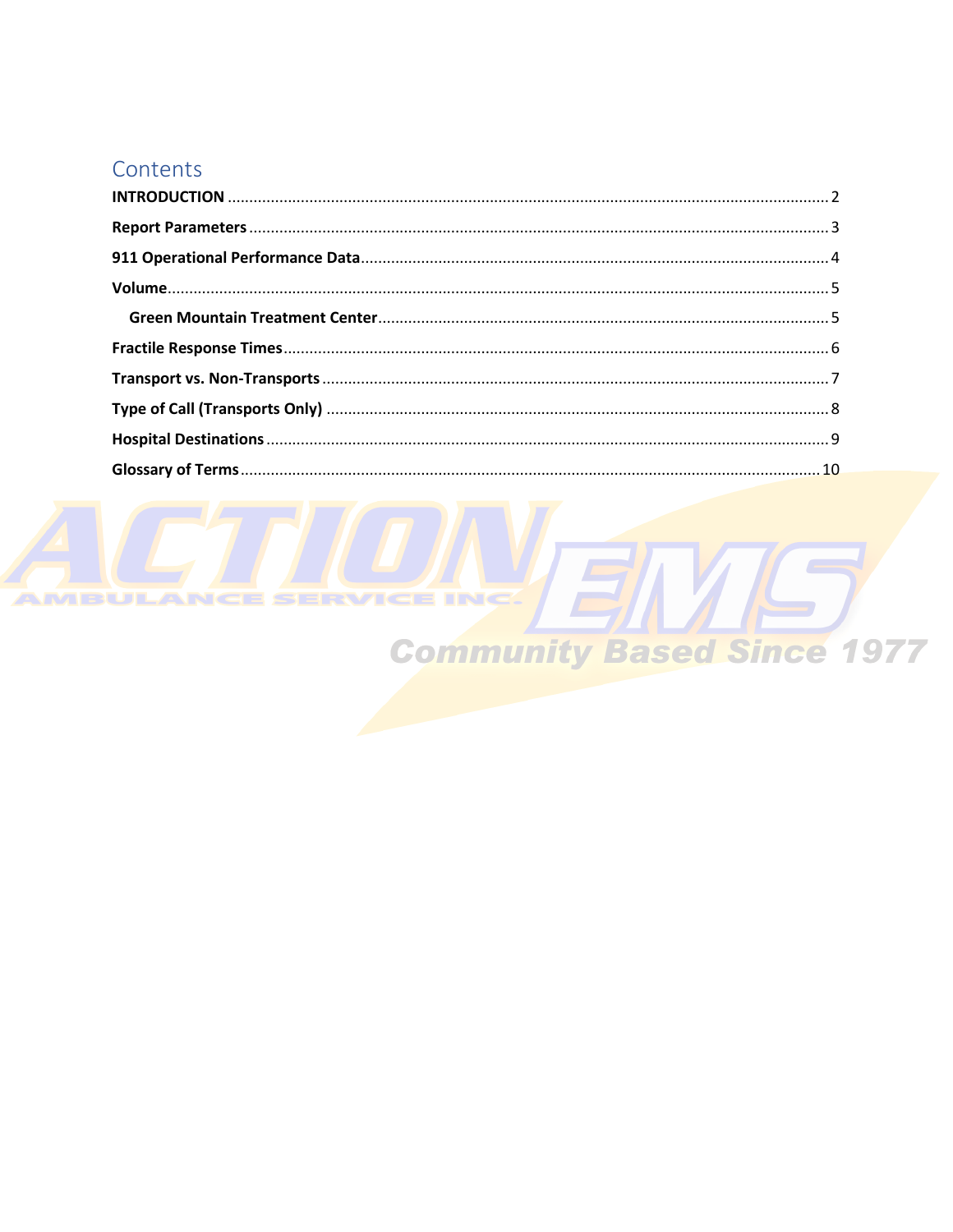#### Contents

ENSIC **TRIC Community Based Since 1977**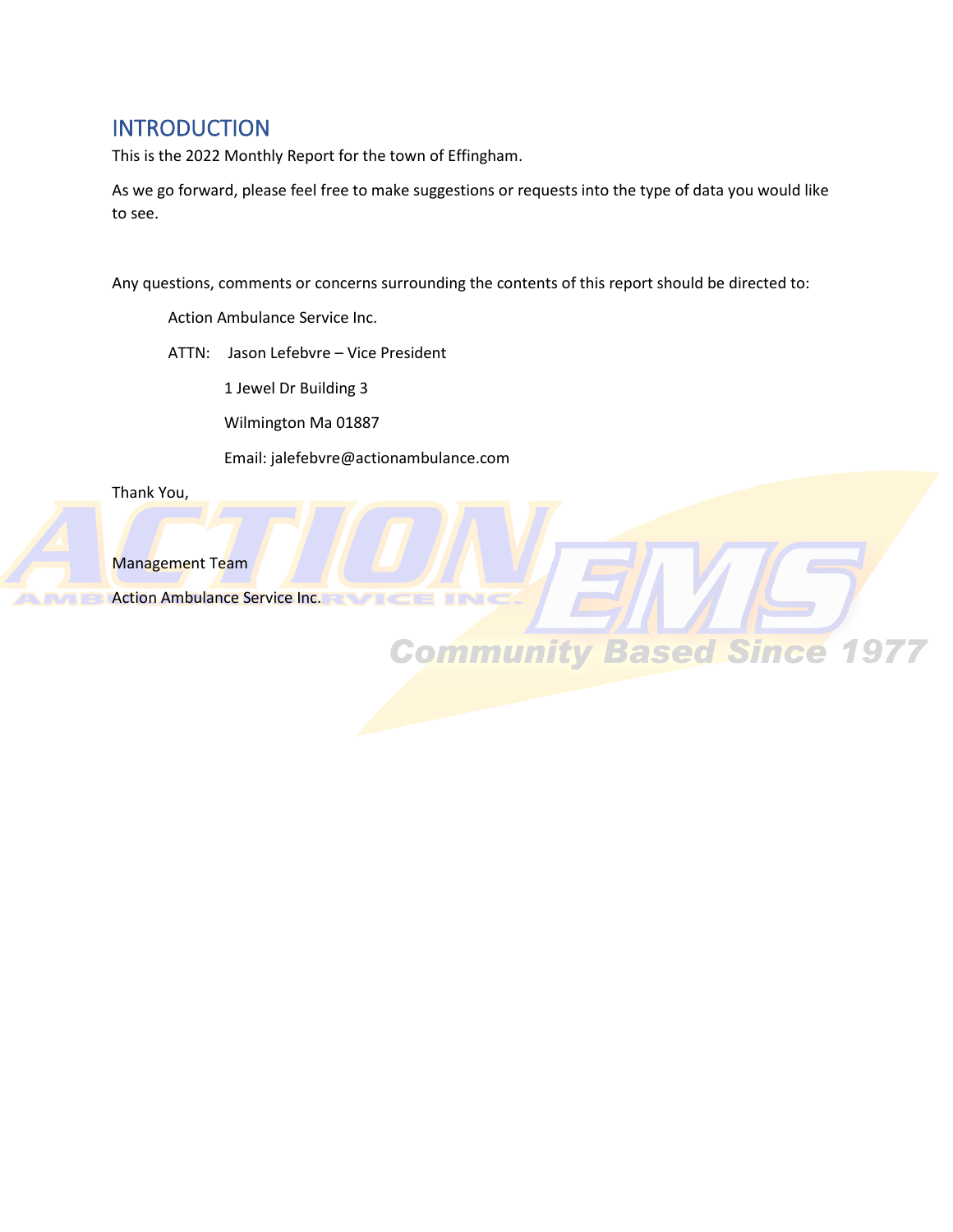#### <span id="page-2-0"></span>**INTRODUCTION**

This is the 2022 Monthly Report for the town of Effingham.

As we go forward, please feel free to make suggestions or requests into the type of data you would like to see.

Any questions, comments or concerns surrounding the contents of this report should be directed to:

**Community Based Since 1977** 

Action Ambulance Service Inc.

ATTN: Jason Lefebvre – Vice President

1 Jewel Dr Building 3

Wilmington Ma 01887

Email: jalefebvre@actionambulance.com

Thank You,



Management Team

Action Ambulance Service Inc.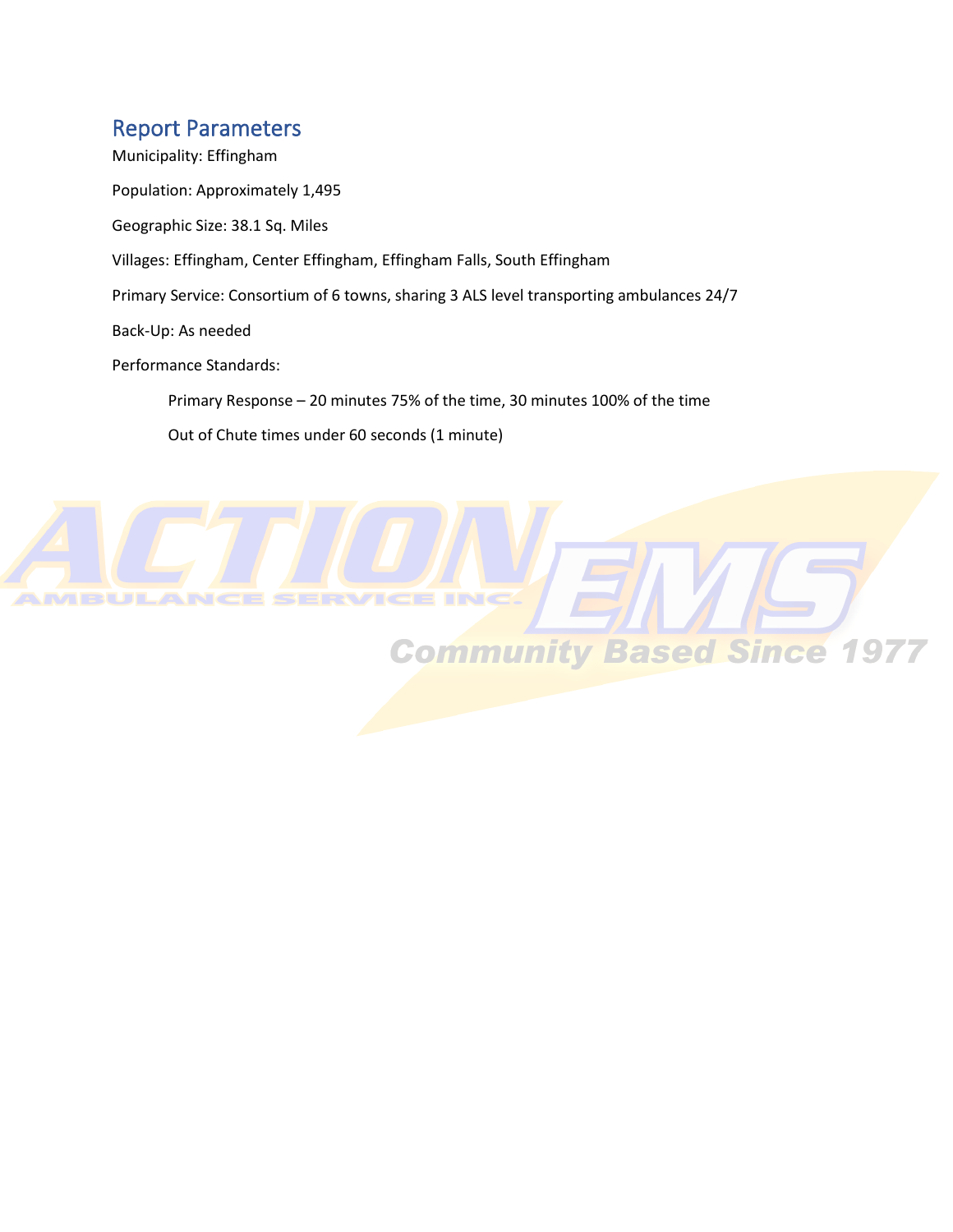#### <span id="page-3-0"></span>Report Parameters

Municipality: Effingham Population: Approximately 1,495 Geographic Size: 38.1 Sq. Miles Villages: Effingham, Center Effingham, Effingham Falls, South Effingham Primary Service: Consortium of 6 towns, sharing 3 ALS level transporting ambulances 24/7 Back-Up: As needed Performance Standards: Primary Response – 20 minutes 75% of the time, 30 minutes 100% of the time Out of Chute times under 60 seconds (1 minute)

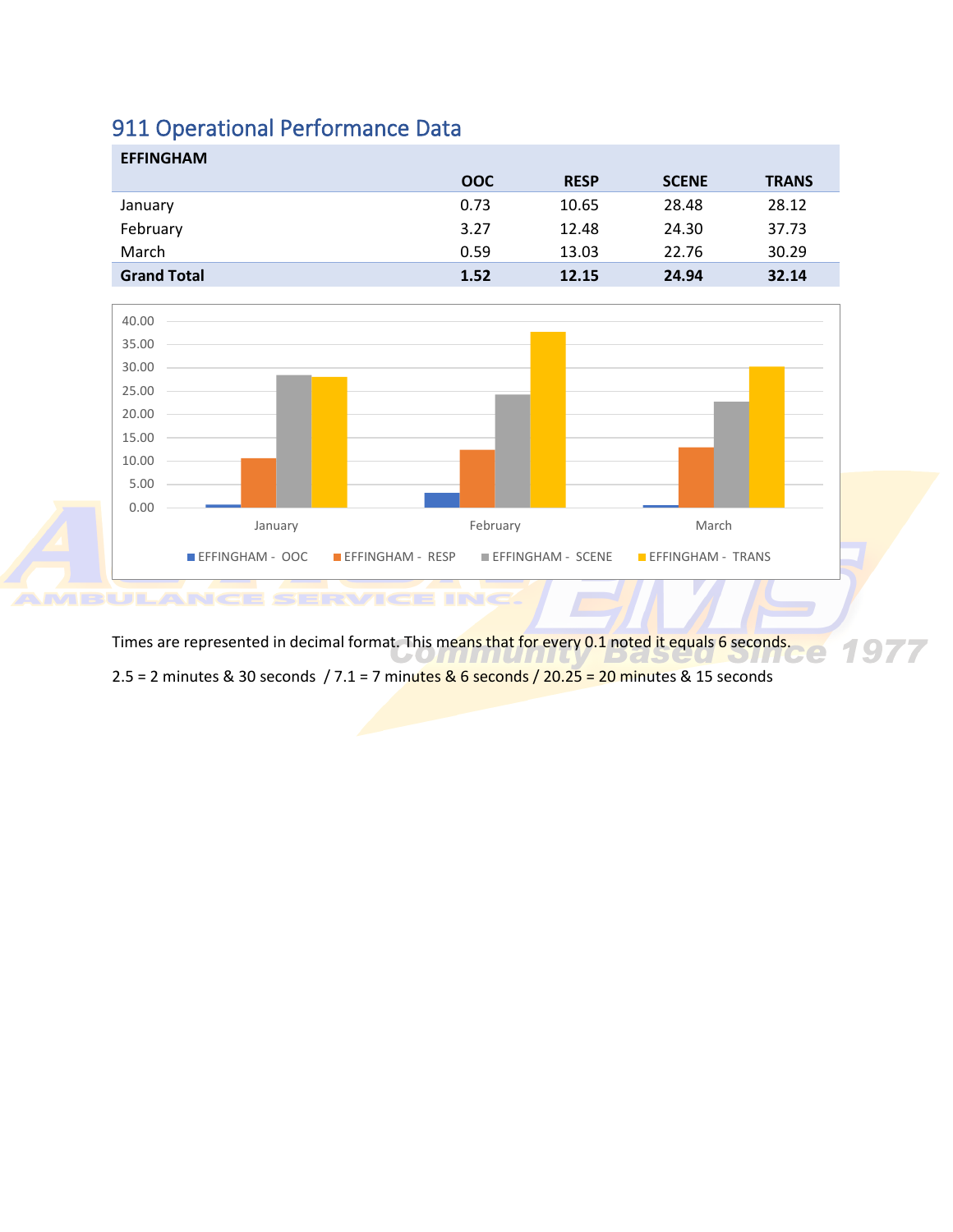# <span id="page-4-0"></span>911 Operational Performance Data

| <b>EFFINGHAM</b>   |            |             |              |              |
|--------------------|------------|-------------|--------------|--------------|
|                    | <b>OOC</b> | <b>RESP</b> | <b>SCENE</b> | <b>TRANS</b> |
| January            | 0.73       | 10.65       | 28.48        | 28.12        |
| February           | 3.27       | 12.48       | 24.30        | 37.73        |
| March              | 0.59       | 13.03       | 22.76        | 30.29        |
| <b>Grand Total</b> | 1.52       | 12.15       | 24.94        | 32.14        |



Times are represented in decimal format. This means that for every 0.1 noted it equals 6 seconds.  $\overline{\mathcal{L}}$  $\cup$ 2.5 = 2 minutes & 30 seconds / 7.1 = 7 minutes & 6 seconds / 20.25 = 20 minutes & 15 seconds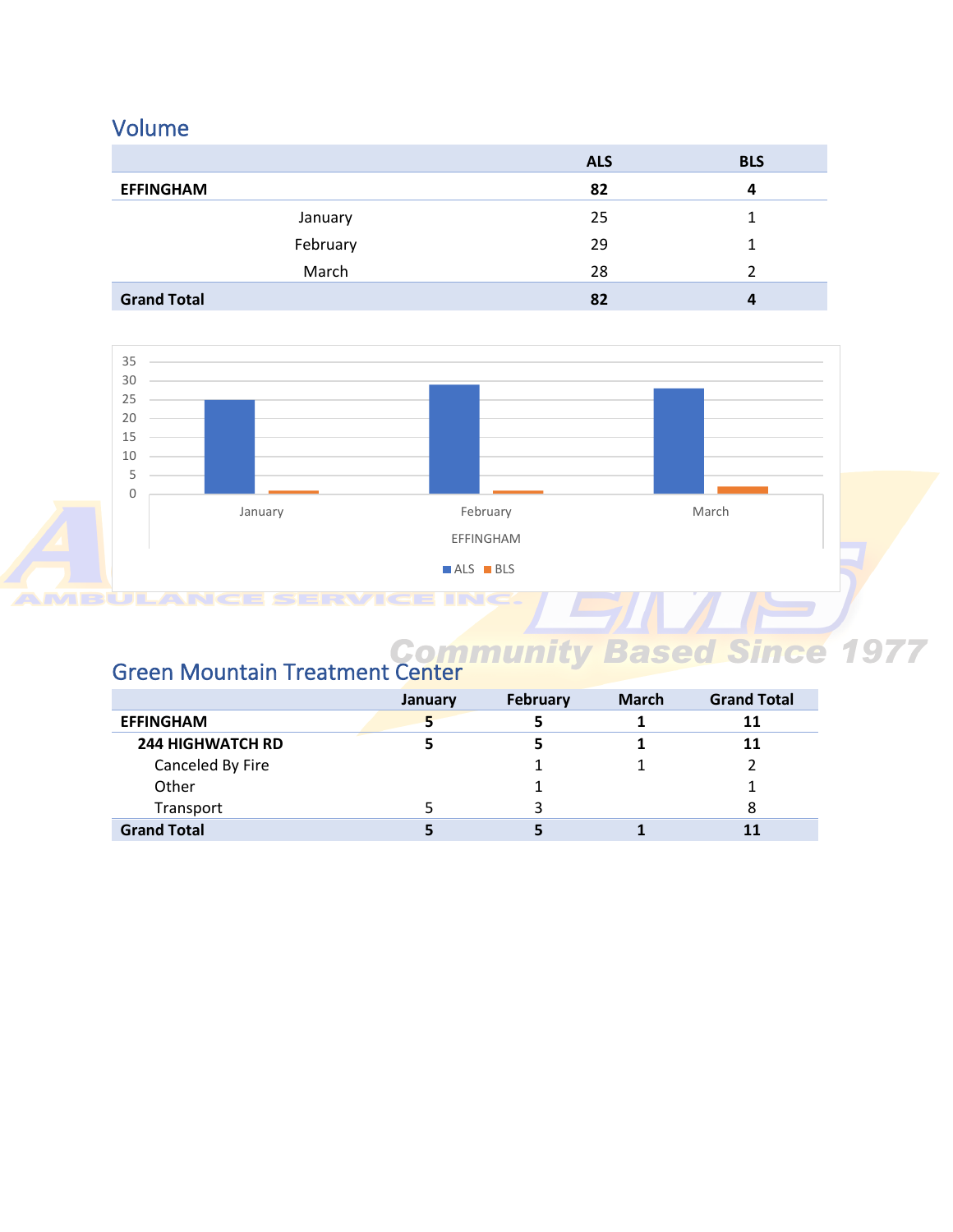## <span id="page-5-0"></span>Volume

|                    | <b>ALS</b> | <b>BLS</b>       |
|--------------------|------------|------------------|
| <b>EFFINGHAM</b>   | 82         | 4                |
| January            | 25         |                  |
| February           | 29         |                  |
| March              | 28         |                  |
| <b>Grand Total</b> | 82         | $\boldsymbol{a}$ |



#### <span id="page-5-1"></span>Green Mountain Treatment Center

|                         | January | <b>February</b> | <b>March</b> | <b>Grand Total</b> |
|-------------------------|---------|-----------------|--------------|--------------------|
| <b>EFFINGHAM</b>        |         |                 |              | 11                 |
| <b>244 HIGHWATCH RD</b> |         |                 |              | 11                 |
| Canceled By Fire        |         |                 |              |                    |
| Other                   |         |                 |              |                    |
| Transport               |         |                 |              | 8                  |
| <b>Grand Total</b>      |         |                 |              | 11                 |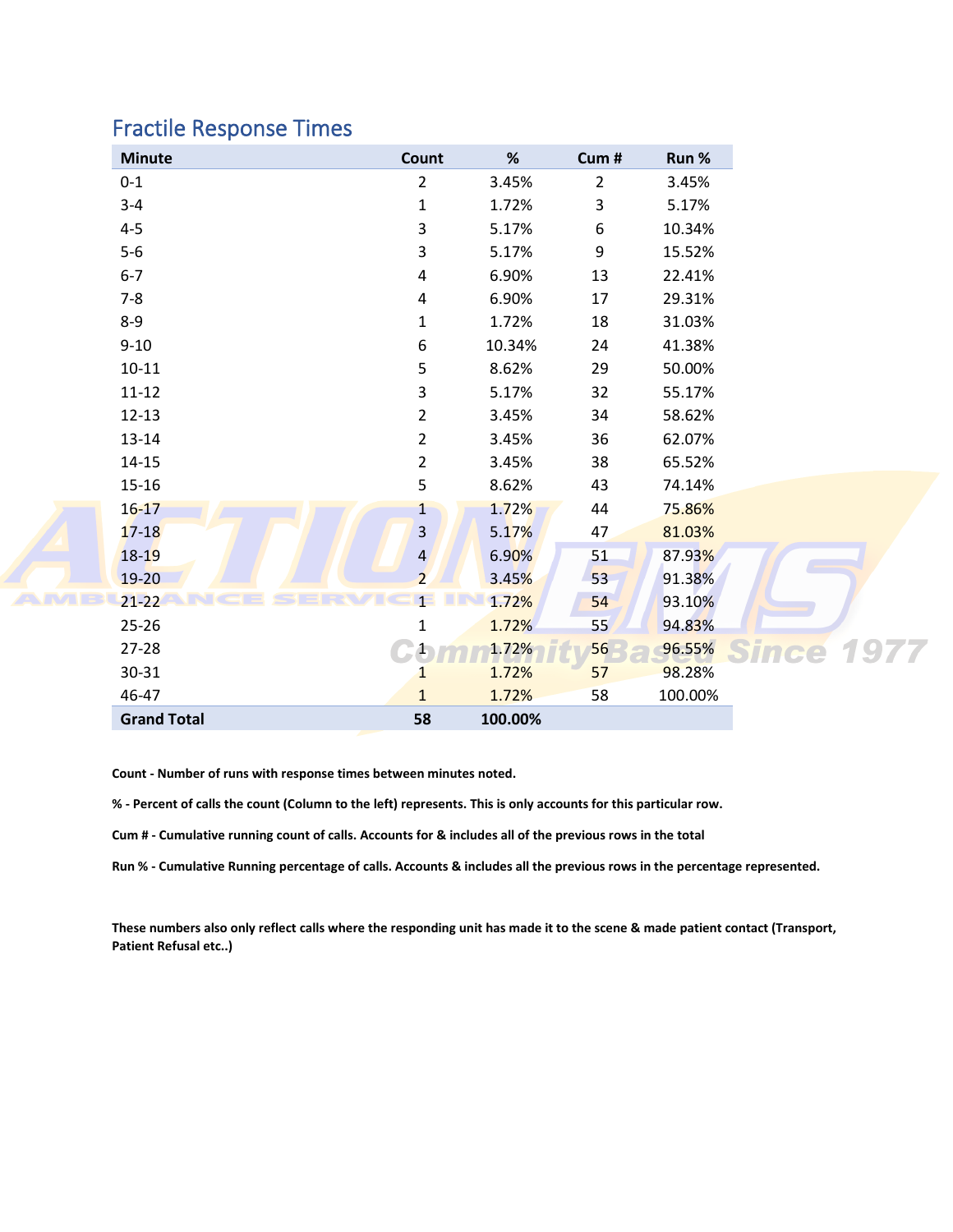### <span id="page-6-0"></span>Fractile Response Times

An

| <b>Minute</b>      | Count                   | %       | Cum#            | Run %   |       |      |
|--------------------|-------------------------|---------|-----------------|---------|-------|------|
| $0 - 1$            | $\overline{2}$          | 3.45%   | $\overline{2}$  | 3.45%   |       |      |
| $3 - 4$            | $\mathbf{1}$            | 1.72%   | 3               | 5.17%   |       |      |
| $4 - 5$            | 3                       | 5.17%   | 6               | 10.34%  |       |      |
| $5-6$              | 3                       | 5.17%   | 9               | 15.52%  |       |      |
| $6 - 7$            | 4                       | 6.90%   | 13              | 22.41%  |       |      |
| $7 - 8$            | 4                       | 6.90%   | 17              | 29.31%  |       |      |
| $8 - 9$            | $\mathbf{1}$            | 1.72%   | 18              | 31.03%  |       |      |
| $9 - 10$           | 6                       | 10.34%  | 24              | 41.38%  |       |      |
| $10 - 11$          | 5                       | 8.62%   | 29              | 50.00%  |       |      |
| $11 - 12$          | 3                       | 5.17%   | 32              | 55.17%  |       |      |
| $12 - 13$          | $\overline{2}$          | 3.45%   | 34              | 58.62%  |       |      |
| $13 - 14$          | $\overline{2}$          | 3.45%   | 36              | 62.07%  |       |      |
| $14 - 15$          | $\overline{2}$          | 3.45%   | 38              | 65.52%  |       |      |
| $15 - 16$          | 5                       | 8.62%   | 43              | 74.14%  |       |      |
| $16 - 17$          | $\mathbf{1}$            | 1.72%   | 44              | 75.86%  |       |      |
| $17 - 18$          | 3                       | 5.17%   | 47              | 81.03%  |       |      |
| $18 - 19$          | $\overline{\mathbf{4}}$ | 6.90%   | 51              | 87.93%  |       |      |
| $19 - 20$          | $\overline{2}$          | 3.45%   | 53              | 91.38%  |       |      |
| $21 - 22$          | 1 <sup>2</sup>          | 1.72%   | 54              | 93.10%  |       |      |
| $25 - 26$          | $\mathbf{1}$            | 1.72%   | 55 <sub>2</sub> | 94.83%  |       |      |
| $27 - 28$          |                         | 1.72%   | 56              | 96.55%  | Since | 1977 |
| 30-31              | 1                       | 1.72%   | 57              | 98.28%  |       |      |
| 46-47              | $\mathbf{1}$            | 1.72%   | 58              | 100.00% |       |      |
| <b>Grand Total</b> | 58                      | 100.00% |                 |         |       |      |

**Count - Number of runs with response times between minutes noted.** 

**% - Percent of calls the count (Column to the left) represents. This is only accounts for this particular row.**

**Cum # - Cumulative running count of calls. Accounts for & includes all of the previous rows in the total**

**Run % - Cumulative Running percentage of calls. Accounts & includes all the previous rows in the percentage represented.** 

**These numbers also only reflect calls where the responding unit has made it to the scene & made patient contact (Transport, Patient Refusal etc..)**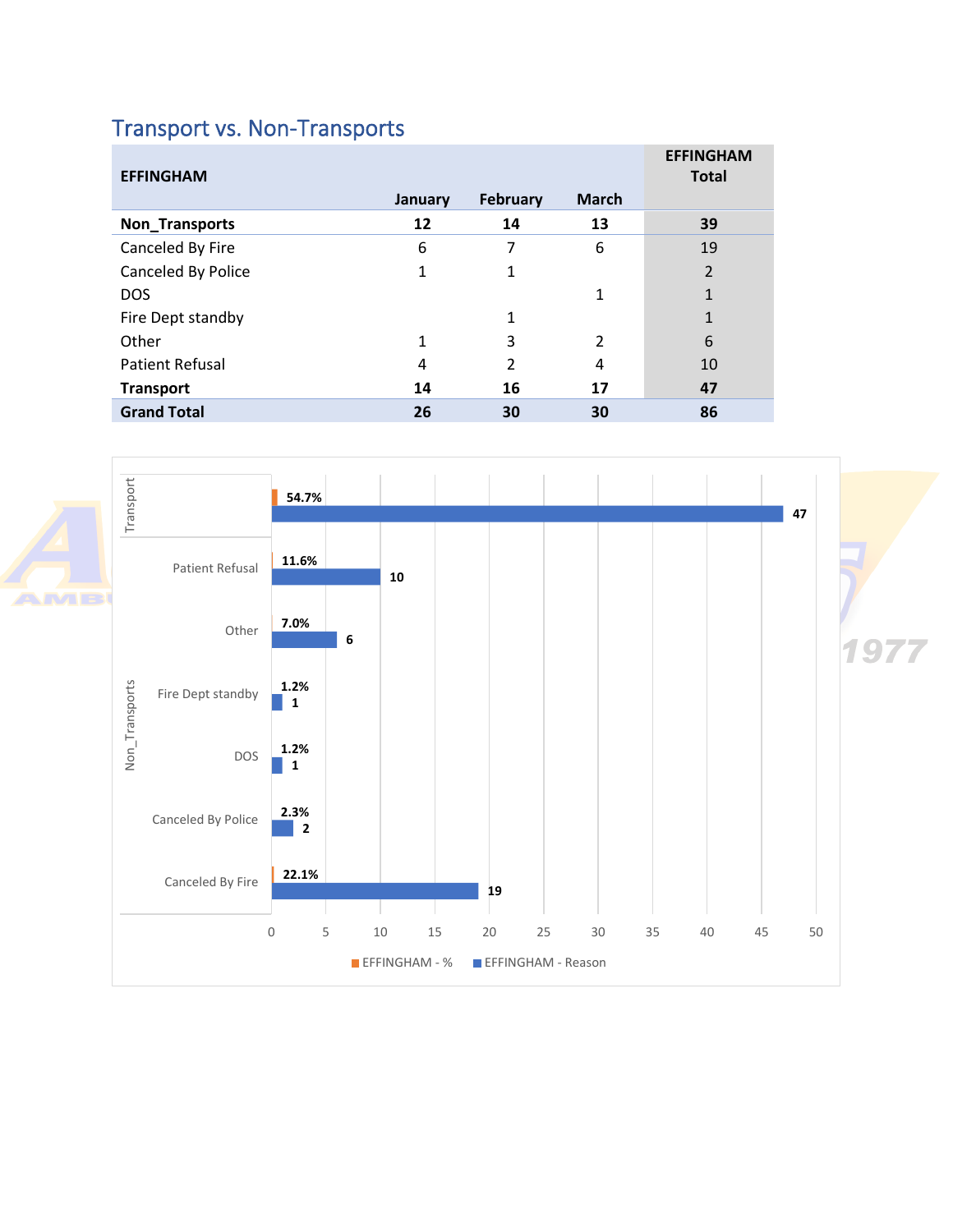# <span id="page-7-0"></span>Transport vs. Non-Transports

| <b>EFFINGHAM</b>       |         |                 |               | <b>EFFINGHAM</b><br><b>Total</b> |
|------------------------|---------|-----------------|---------------|----------------------------------|
|                        | January | <b>February</b> | <b>March</b>  |                                  |
| Non_Transports         | 12      | 14              | 13            | 39                               |
| Canceled By Fire       | 6       | 7               | 6             | 19                               |
| Canceled By Police     | 1       | 1               |               | $\overline{2}$                   |
| <b>DOS</b>             |         |                 | 1             | $\mathbf{1}$                     |
| Fire Dept standby      |         | 1               |               | 1                                |
| Other                  | 1       | 3               | $\mathcal{P}$ | 6                                |
| <b>Patient Refusal</b> | 4       | $\mathcal{P}$   | 4             | 10                               |
| <b>Transport</b>       | 14      | 16              | 17            | 47                               |
| <b>Grand Total</b>     | 26      | 30              | 30            | 86                               |

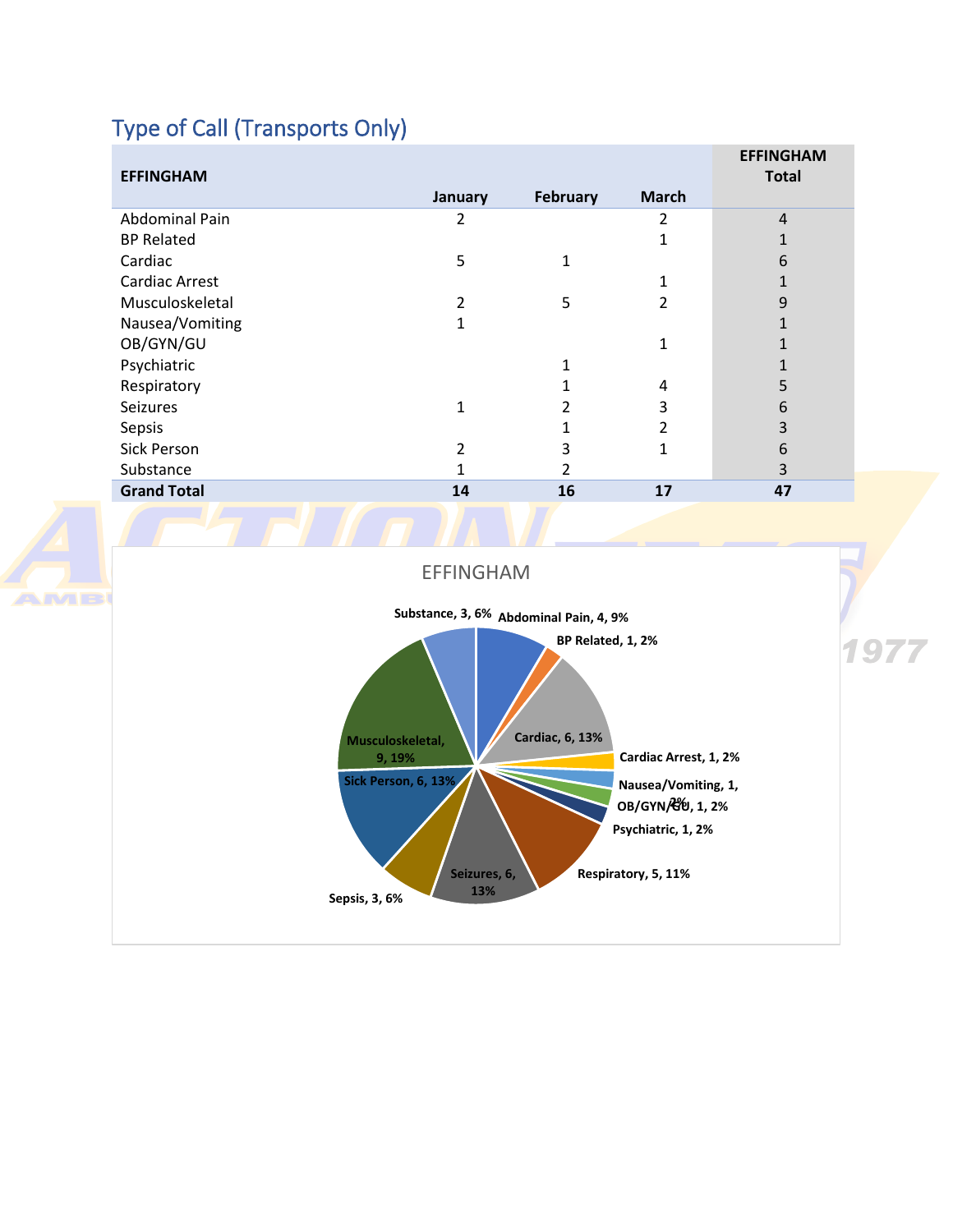# <span id="page-8-0"></span>Type of Call (Transports Only)

**AMB** 

| <b>EFFINGHAM</b>   |                |          |              | <b>EFFINGHAM</b><br><b>Total</b> |
|--------------------|----------------|----------|--------------|----------------------------------|
|                    | January        | February | <b>March</b> |                                  |
| Abdominal Pain     | 2              |          | 2            | $\overline{4}$                   |
| <b>BP Related</b>  |                |          |              | 1                                |
| Cardiac            | 5              | 1        |              | 6                                |
| Cardiac Arrest     |                |          | 1            |                                  |
| Musculoskeletal    | $\overline{2}$ | 5        | 2            | 9                                |
| Nausea/Vomiting    | 1              |          |              |                                  |
| OB/GYN/GU          |                |          | 1            |                                  |
| Psychiatric        |                |          |              |                                  |
| Respiratory        |                |          | 4            | 5                                |
| <b>Seizures</b>    | 1              |          | 3            | 6                                |
| Sepsis             |                |          | 2            | 3                                |
| Sick Person        | 2              | 3        | 1            | 6                                |
| Substance          |                | 2        |              | 3                                |
| <b>Grand Total</b> | 14             | 16       | 17           | 47                               |
|                    |                |          |              |                                  |

EFFINGHAM

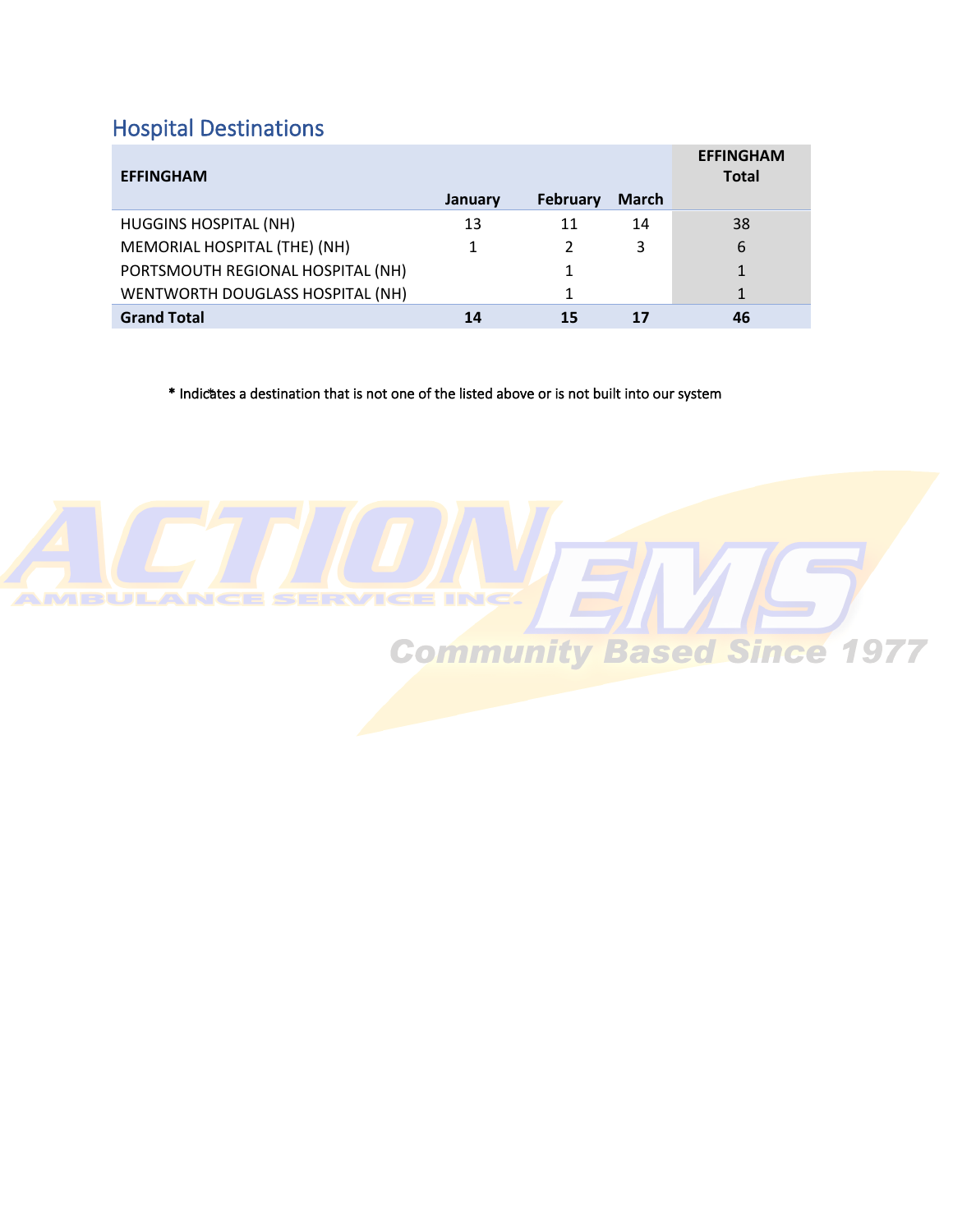# <span id="page-9-0"></span>Hospital Destinations

| <b>EFFINGHAM</b>                  |         |                 |              | <b>EFFINGHAM</b><br><b>Total</b> |
|-----------------------------------|---------|-----------------|--------------|----------------------------------|
|                                   | January | <b>February</b> | <b>March</b> |                                  |
| <b>HUGGINS HOSPITAL (NH)</b>      | 13      | 11              | 14           | 38                               |
| MEMORIAL HOSPITAL (THE) (NH)      | 1       |                 | 3            | 6                                |
| PORTSMOUTH REGIONAL HOSPITAL (NH) |         | 1               |              | 1                                |
| WENTWORTH DOUGLASS HOSPITAL (NH)  |         | 1               |              | 1                                |
| <b>Grand Total</b>                | 14      | 15              |              | 46                               |

\* Indicates a destination that is not one of the listed above or is not built into our system

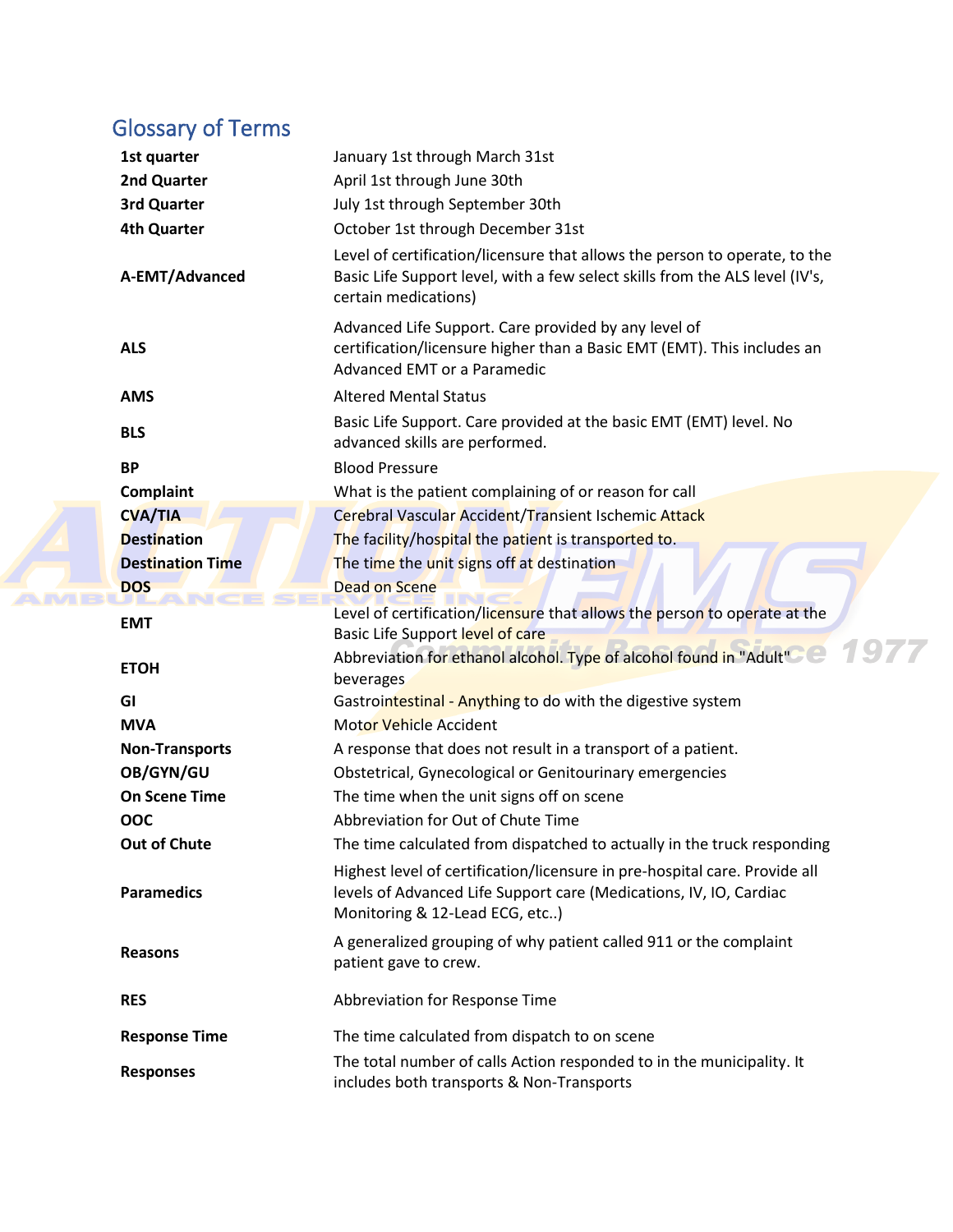# <span id="page-10-0"></span>Glossary of Terms

**AMR** 

| 1st quarter             | January 1st through March 31st                                                                                                                                                     |
|-------------------------|------------------------------------------------------------------------------------------------------------------------------------------------------------------------------------|
| 2nd Quarter             | April 1st through June 30th                                                                                                                                                        |
| 3rd Quarter             | July 1st through September 30th                                                                                                                                                    |
| <b>4th Quarter</b>      | October 1st through December 31st                                                                                                                                                  |
| A-EMT/Advanced          | Level of certification/licensure that allows the person to operate, to the<br>Basic Life Support level, with a few select skills from the ALS level (IV's,<br>certain medications) |
| <b>ALS</b>              | Advanced Life Support. Care provided by any level of<br>certification/licensure higher than a Basic EMT (EMT). This includes an<br>Advanced EMT or a Paramedic                     |
| <b>AMS</b>              | <b>Altered Mental Status</b>                                                                                                                                                       |
| <b>BLS</b>              | Basic Life Support. Care provided at the basic EMT (EMT) level. No<br>advanced skills are performed.                                                                               |
| <b>BP</b>               | <b>Blood Pressure</b>                                                                                                                                                              |
| Complaint               | What is the patient complaining of or reason for call                                                                                                                              |
| <b>CVA/TIA</b>          | Cerebral Vascular Accident/Transient Ischemic Attack                                                                                                                               |
| <b>Destination</b>      | The facility/hospital the patient is transported to.                                                                                                                               |
| <b>Destination Time</b> | The time the unit signs off at destination                                                                                                                                         |
| <b>DOS</b>              | <b>Dead on Scene</b>                                                                                                                                                               |
| <b>EMT</b>              | Level of certification/licensure that allows the person to operate at the<br>Basic Life Support level of care                                                                      |
| <b>ETOH</b>             | Abbreviation for ethanol alcohol. Type of alcohol found in "Adult"<br>beverages                                                                                                    |
| GI                      | Gastrointestinal - Anything to do with the digestive system                                                                                                                        |
| <b>MVA</b>              | <b>Motor Vehicle Accident</b>                                                                                                                                                      |
| <b>Non-Transports</b>   | A response that does not result in a transport of a patient.                                                                                                                       |
| OB/GYN/GU               | Obstetrical, Gynecological or Genitourinary emergencies                                                                                                                            |
| <b>On Scene Time</b>    | The time when the unit signs off on scene                                                                                                                                          |
| OOC                     | Abbreviation for Out of Chute Time                                                                                                                                                 |
| Out of Chute            | The time calculated from dispatched to actually in the truck responding                                                                                                            |
| <b>Paramedics</b>       | Highest level of certification/licensure in pre-hospital care. Provide all<br>levels of Advanced Life Support care (Medications, IV, IO, Cardiac<br>Monitoring & 12-Lead ECG, etc) |
| <b>Reasons</b>          | A generalized grouping of why patient called 911 or the complaint<br>patient gave to crew.                                                                                         |
| <b>RES</b>              | Abbreviation for Response Time                                                                                                                                                     |
| <b>Response Time</b>    | The time calculated from dispatch to on scene                                                                                                                                      |
| <b>Responses</b>        | The total number of calls Action responded to in the municipality. It<br>includes both transports & Non-Transports                                                                 |